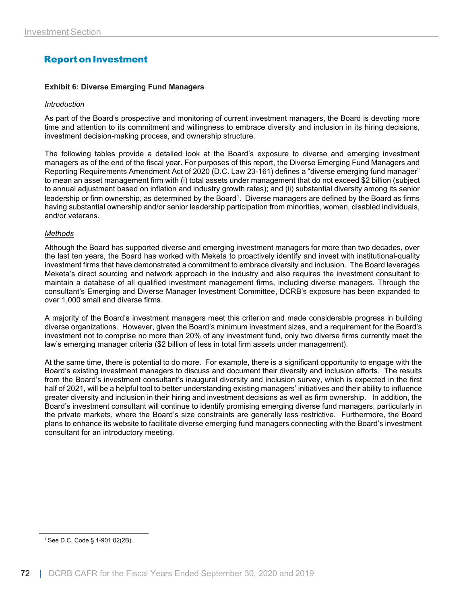# **Report on Investment**

#### **Exhibit 6: Diverse Emerging Fund Managers**

#### *Introduction*

As part of the Board's prospective and monitoring of current investment managers, the Board is devoting more time and attention to its commitment and willingness to embrace diversity and inclusion in its hiring decisions, investment decision-making process, and ownership structure.

The following tables provide a detailed look at the Board's exposure to diverse and emerging investment managers as of the end of the fiscal year. For purposes of this report, the Diverse Emerging Fund Managers and Reporting Requirements Amendment Act of 2020 (D.C. Law 23-161) defines a "diverse emerging fund manager" to mean an asset management firm with (i) total assets under management that do not exceed \$2 billion (subject to annual adjustment based on inflation and industry growth rates); and (ii) substantial diversity among its senior leadership or firm ownership, as determined by the Board<sup>1</sup>. Diverse managers are defined by the Board as firms having substantial ownership and/or senior leadership participation from minorities, women, disabled individuals, and/or veterans.

#### *Methods*

Although the Board has supported diverse and emerging investment managers for more than two decades, over the last ten years, the Board has worked with Meketa to proactively identify and invest with institutional-quality investment firms that have demonstrated a commitment to embrace diversity and inclusion. The Board leverages Meketa's direct sourcing and network approach in the industry and also requires the investment consultant to maintain a database of all qualified investment management firms, including diverse managers. Through the consultant's Emerging and Diverse Manager Investment Committee, DCRB's exposure has been expanded to over 1,000 small and diverse firms.

A majority of the Board's investment managers meet this criterion and made considerable progress in building diverse organizations. However, given the Board's minimum investment sizes, and a requirement for the Board's investment not to comprise no more than 20% of any investment fund, only two diverse firms currently meet the law's emerging manager criteria (\$2 billion of less in total firm assets under management).

At the same time, there is potential to do more. For example, there is a significant opportunity to engage with the Board's existing investment managers to discuss and document their diversity and inclusion efforts. The results from the Board's investment consultant's inaugural diversity and inclusion survey, which is expected in the first half of 2021, will be a helpful tool to better understanding existing managers' initiatives and their ability to influence greater diversity and inclusion in their hiring and investment decisions as well as firm ownership. In addition, the Board's investment consultant will continue to identify promising emerging diverse fund managers, particularly in the private markets, where the Board's size constraints are generally less restrictive. Furthermore, the Board plans to enhance its website to facilitate diverse emerging fund managers connecting with the Board's investment consultant for an introductory meeting.

<sup>1</sup> See D.C. Code § 1-901.02(2B).